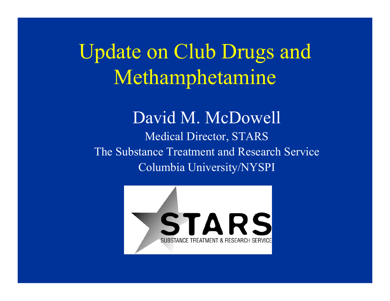Update on Club Drugs and Methamphetamine

David M. McDowell Medical Director, STARS The Substance Treatment and Res earch Service Columbia University/NYSPI

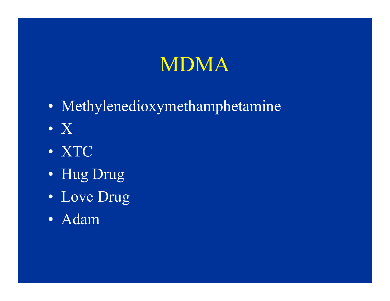#### MDMA

- Methylenedioxymethamphetamine
- X
- XTC
- Hug Drug
- Love Drug
- Adam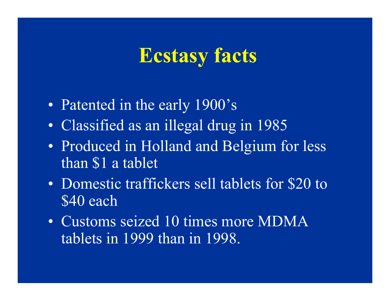#### **Ecstasy facts**

- $\bullet$ • Patented in the early 1900's
- $\bullet$ Classified as an illegal drug in 1985
- $\bullet$ • Produced in Holland and Belgium for less than \$1 a tablet
- $\bullet$ Domestic traffickers sell tablets for \$20 to \$40 each
- $\bullet$ • Customs seized 10 times more MDMA tablets in 1999 than in 1998.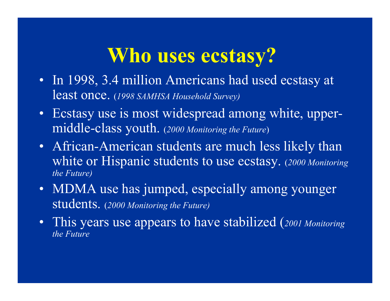## **Who uses ecstasy?**

- In 1998, 3.4 million Americans had used ecstasy at least once. (*1998 SAMHSA Household Survey)*
- Ecstasy use is most widespread among white, upperm iddle-class youth. ( *2000 Monitoring the Future* )
- African-American students are much less likely than white or Hispanic students to use ecstasy. (*2000 Monitoring the Future)*
- MDMA use has jumped, especially among younger students. ( *2000 Monitoring the Future)*
- This years use appears to have stabilized ( *2001 Monitoring the Future*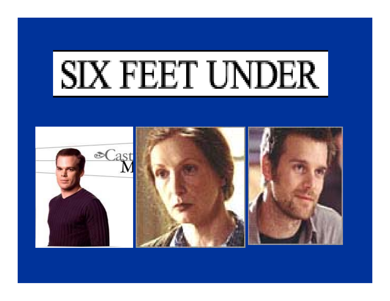

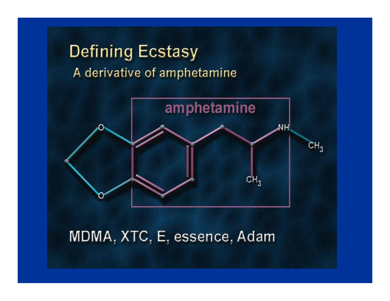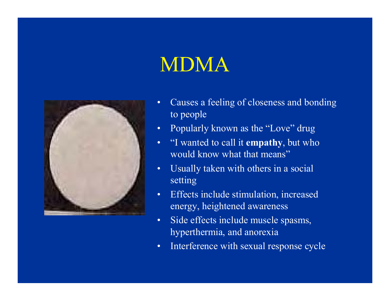## MDMA



- •Causes a feeli ng of close ness and bonding t o peopl e
- •Popularly known a s the "Love" drug
- $\bullet$ "I wan ted t o call it **empa<sup>t</sup> h y**, but w ho would know what that means ,,
- •Usually taken with others in a social setti n g
- •Effects inc lude stimulati on, i ncrease d energy, heightened awareness
- •Side effects i nclude muscle s pasm s, hyperthermia, and anorexia
- $\bullet$ Interference with sexual response cycle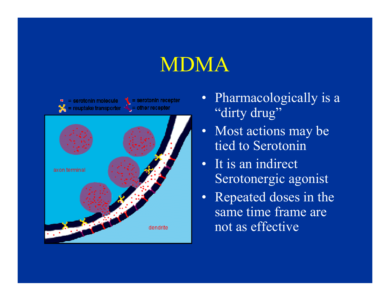## MDMA



- Pharmacologically is a "dirty drug"
- $\bullet$ Most actions m ay be tied to Serotonin
- It is an indirect Serotonergic agonist
- Repeated doses in the same t ime fr ame ar enot as effective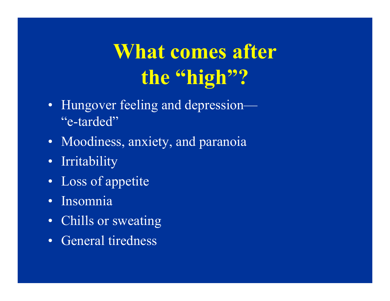# **What comes after the "high"?**

- Hungover feeling and depression— "e-tarded"
- Moodiness, anxiety, and paranoia
- Irritability
- Loss of appetite
- •Insomnia
- Chills or sweating
- General tiredness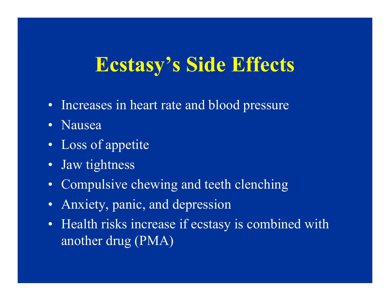## **Ecstasy's Side Effects**

- Increases in heart rate and blood pressure
- •Nausea
- Loss of appetite
- Jaw tightness
- Compulsive chewing and teeth clenching
- •Anxiety, panic, and depression
- Health risks increase if ecstasy is combined with another drug (PMA)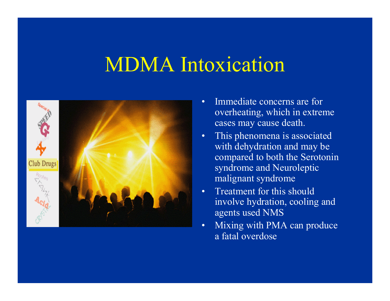#### MDMA Intoxication



- •Immediate concerns are for ove rheating, w hich i n e x treme cases m ay caus e death.
- •This phenomena i s as s ociate d with d e hydrati on and m ay b e c omp a red to b oth th e S eroto nin syn dro m e and N eurolep tic m a lignant syndrom e
- •Treatment for this shouldinvolve hydration, cooling and agents use d NMS
- •Mixing with PMA can produce a fatal overdose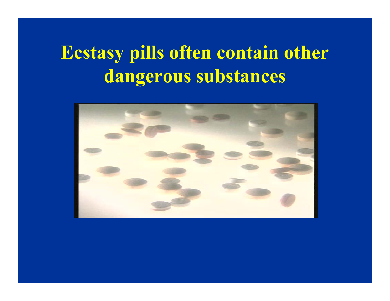#### **Ecstasy pills often contain other dangerous substances**

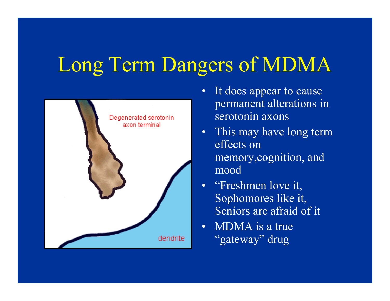# Long Term Dangers of MDMA



- $\bullet$ It does appear to cause permanent a lter ations in serotonin axons
- This may have long term effects on m e m ory,cognition, and mood
- "Freshmen love it, Sophom ores like it, Seniors are afraid of it
- MDMA is a true "gateway" drug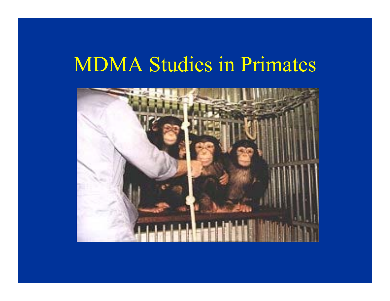#### MDMA Studies in Primates

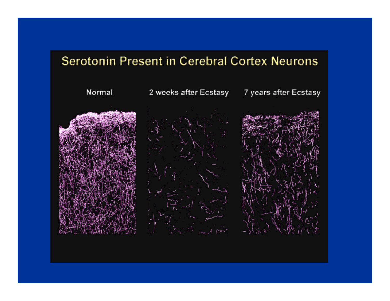#### **Serotonin Present in Cerebral Cortex Neurons**

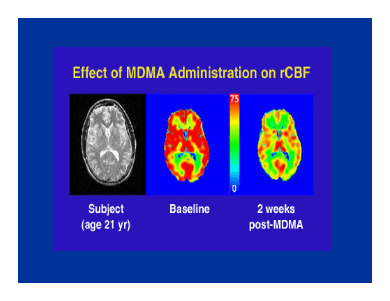#### **Effect of MDMA Administration on rCBF**



**Subject** (age 21 yr) **Baseline** 

2 weeks post-MDMA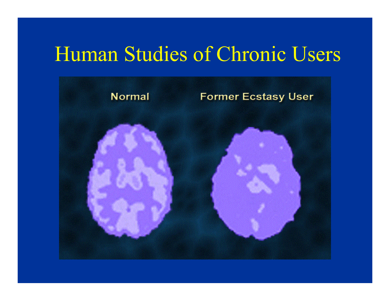#### Human Studies of Chronic Users

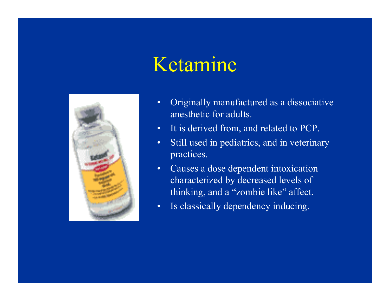#### Ketamine



- Originally manufactured as a dissociative  $\bullet$ anesthetic for adults.
- It is derived from, and related to PCP.  $\bullet$
- Still used in pediatrics, and in veterinary  $\bullet$ practices.
- Causes a dose dependent intoxication  $\bullet$ characterized by decreased levels of thinking, and a "zombie like" affect.
- Is classically dependency inducing.  $\bullet$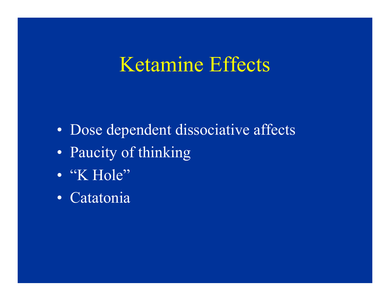#### Ketamine Effects

- Dose dependent dissociative affects
- Paucity of thinking
- · "K Hole"
- Catatonia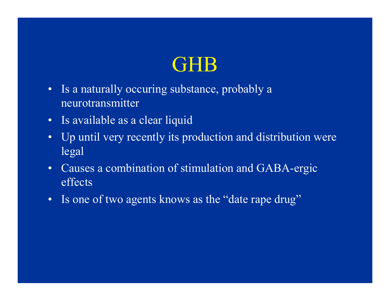#### GHB

- • Is a naturally occuring substance, probably a neurotransmitter
- Is available as a clear liquid
- • Up until very recently its production and distribution were legal
- • Causes a combination of stimulation and GABA-ergic effects
- Is one of two agents knows as the "date rape drug"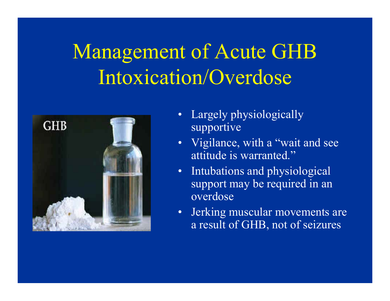# Management of Acute GHB Intoxication/Overdose



- $\bullet$ Largely physiologically supportive
- $\bullet$ Vigilance, with a "wait and see attitude is warranted."
- $\bullet$ Intubations and physiological support m ay be required in an overdose
- •Jerking muscular movem ents are a result of GHB, not of s eizures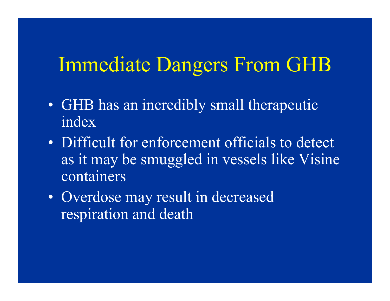#### Immediate Dangers From GHB

- GHB has an incredibly small therapeutic index
- $\bullet$ • Difficult for enforcement officials to detect as it may be smuggled in vessels like Visine container s
- $\bullet$ • Overdose may result in decreased respiration and death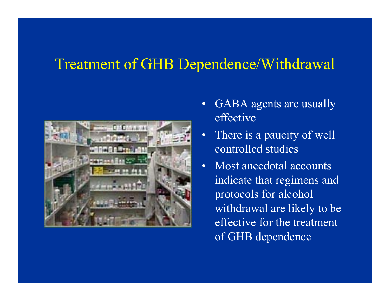#### Treatment of GHB Dependence/Withdrawal



- $\bullet$ GABA agents are usually effective
- •There is a paucity of well controlled studies
- Most anecdotal accounts indicate that regim ens and protocols for alcohol withdrawal are likely to be effective for the treatment of GHB dependence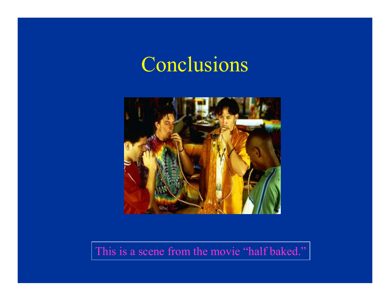#### Conclusions



This is a scene from the movie "half baked."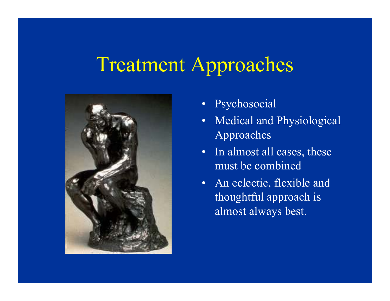#### Treatment Approaches



- $\bullet$ Psychosocial
- •Medical and Physiological Approaches
- •In alm ost all cases, these must be combined
- An eclectic, flexible and thoughtful approach is alm ost always best.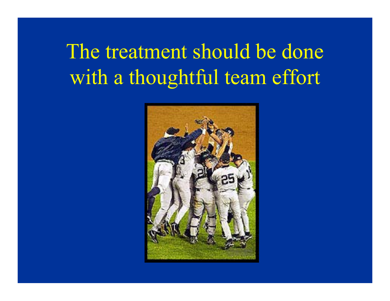# The treatment should be done with a thoughtful team effort

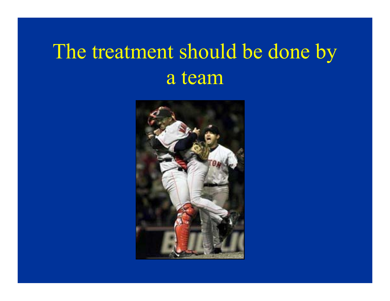# The treatment should be done by a team